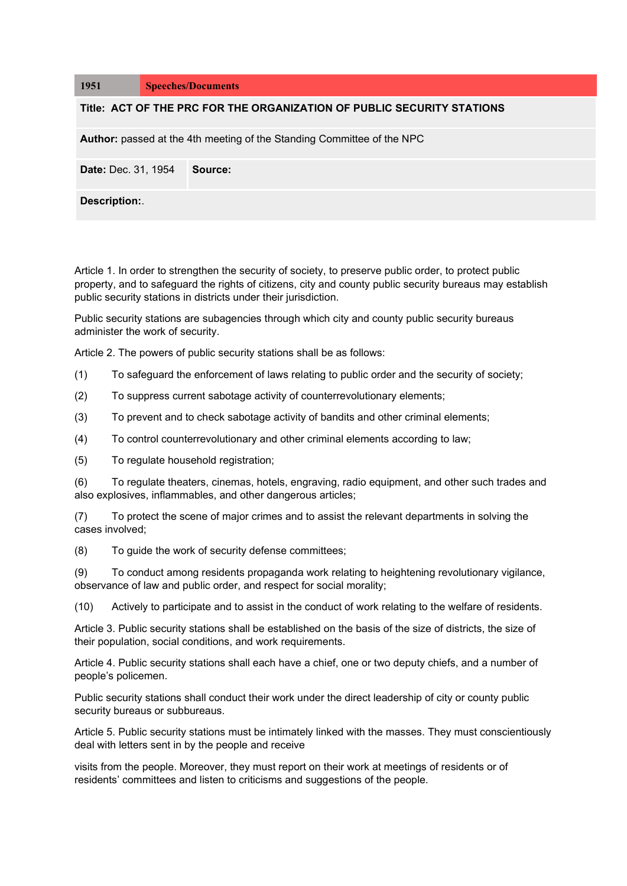| 1951                                                                          | <b>Speeches/Documents</b> |         |
|-------------------------------------------------------------------------------|---------------------------|---------|
| Title: ACT OF THE PRC FOR THE ORGANIZATION OF PUBLIC SECURITY STATIONS        |                           |         |
| <b>Author:</b> passed at the 4th meeting of the Standing Committee of the NPC |                           |         |
| <b>Date: Dec. 31, 1954</b>                                                    |                           | Source: |
| Description:.                                                                 |                           |         |

Article 1. In order to strengthen the security of society, to preserve public order, to protect public property, and to safeguard the rights of citizens, city and county public security bureaus may establish public security stations in districts under their jurisdiction.

Public security stations are subagencies through which city and county public security bureaus administer the work of security.

Article 2. The powers of public security stations shall be as follows:

- (1) To safeguard the enforcement of laws relating to public order and the security of society;
- (2) To suppress current sabotage activity of counterrevolutionary elements;
- (3) To prevent and to check sabotage activity of bandits and other criminal elements;
- (4) To control counterrevolutionary and other criminal elements according to law;
- (5) To regulate household registration;

(6) To regulate theaters, cinemas, hotels, engraving, radio equipment, and other such trades and also explosives, inflammables, and other dangerous articles;

(7) To protect the scene of major crimes and to assist the relevant departments in solving the cases involved;

(8) To guide the work of security defense committees;

(9) To conduct among residents propaganda work relating to heightening revolutionary vigilance, observance of law and public order, and respect for social morality;

(10) Actively to participate and to assist in the conduct of work relating to the welfare of residents.

Article 3. Public security stations shall be established on the basis of the size of districts, the size of their population, social conditions, and work requirements.

Article 4. Public security stations shall each have a chief, one or two deputy chiefs, and a number of people's policemen.

Public security stations shall conduct their work under the direct leadership of city or county public security bureaus or subbureaus.

Article 5. Public security stations must be intimately linked with the masses. They must conscientiously deal with letters sent in by the people and receive

visits from the people. Moreover, they must report on their work at meetings of residents or of residents' committees and listen to criticisms and suggestions of the people.